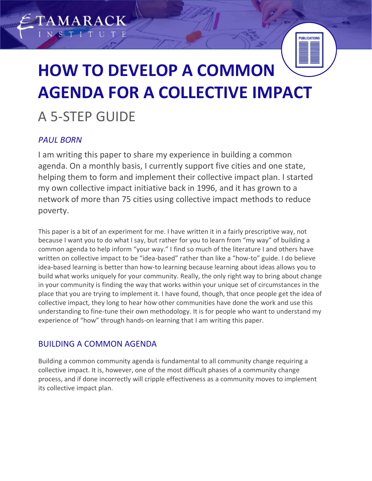# **HOW TO DEVELOP A COMMON AGENDA FOR A COLLECTIVE IMPACT** A 5-STEP GUIDE

**PUBLICATIONS** 

# *PAUL BORN*

**AMARACK** 

I am writing this paper to share my experience in building a common agenda. On a monthly basis, I currently support five cities and one state, helping them to form and implement their collective impact plan. I started my own collective impact initiative back in 1996, and it has grown to a network of more than 75 cities using collective impact methods to reduce poverty.

This paper is a bit of an experiment for me. I have written it in a fairly prescriptive way, not because I want you to do what I say, but rather for you to learn from "my way" of building a common agenda to help inform "your way." I find so much of the literature I and others have written on collective impact to be "idea-based" rather than like a "how-to" guide. I do believe idea-based learning is better than how-to learning because learning about ideas allows you to build what works uniquely for your community. Really, the only right way to bring about change in your community is finding the way that works within your unique set of circumstances in the place that you are trying to implement it. I have found, though, that once people get the idea of collective impact, they long to hear how other communities have done the work and use this understanding to fine-tune their own methodology. It is for people who want to understand my experience of "how" through hands-on learning that I am writing this paper.

# BUILDING A COMMON AGENDA

Building a common community agenda is fundamental to all community change requiring a collective impact. It is, however, one of the most difficult phases of a community change process, and if done incorrectly will cripple effectiveness as a community moves to implement its collective impact plan.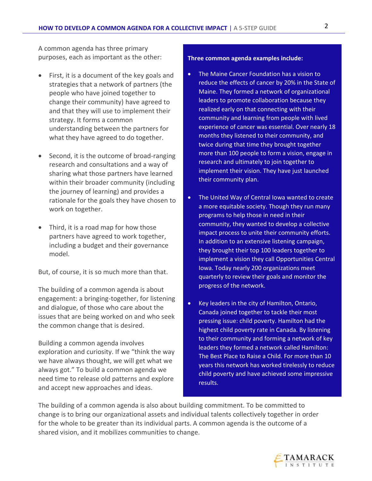A common agenda has three primary purposes, each as important as the other:

- First, it is a document of the key goals and strategies that a network of partners (the people who have joined together to change their community) have agreed to and that they will use to implement their strategy. It forms a common understanding between the partners for what they have agreed to do together.
- Second, it is the outcome of broad-ranging research and consultations and a way of sharing what those partners have learned within their broader community (including the journey of learning) and provides a rationale for the goals they have chosen to work on together.
- Third, it is a road map for how those partners have agreed to work together, including a budget and their governance model.

But, of course, it is so much more than that.

The building of a common agenda is about engagement: a bringing-together, for listening and dialogue, of those who care about the issues that are being worked on and who seek the common change that is desired.

Building a common agenda involves exploration and curiosity. If we "think the way we have always thought, we will get what we always got." To build a common agenda we need time to release old patterns and explore and accept new approaches and ideas.

#### **Three common agenda examples include:**

- The Maine Cancer Foundation has a vision to reduce the effects of cancer by 20% in the State of Maine. They formed a network of organizational leaders to promote collaboration because they realized early on that connecting with their community and learning from people with lived experience of cancer was essential. Over nearly 18 months they listened to their community, and twice during that time they brought together more than 100 people to form a vision, engage in research and ultimately to join together to implement their vision. They have just launched their community plan.
- The United Way of Central Iowa wanted to create a more equitable society. Though they run many programs to help those in need in their community, they wanted to develop a collective impact process to unite their community efforts. In addition to an extensive listening campaign, they brought their top 100 leaders together to implement a vision they call Opportunities Central Iowa. Today nearly 200 organizations meet quarterly to review their goals and monitor the progress of the network.
- Key leaders in the city of Hamilton, Ontario, Canada joined together to tackle their most pressing issue: child poverty. Hamilton had the highest child poverty rate in Canada. By listening to their community and forming a network of key leaders they formed a network called Hamilton: The Best Place to Raise a Child. For more than 10 years this network has worked tirelessly to reduce child poverty and have achieved some impressive results.

The building of a common agenda is also about building commitment. To be committed to change is to bring our organizational assets and individual talents collectively together in order for the whole to be greater than its individual parts. A common agenda is the outcome of a shared vision, and it mobilizes communities to change.

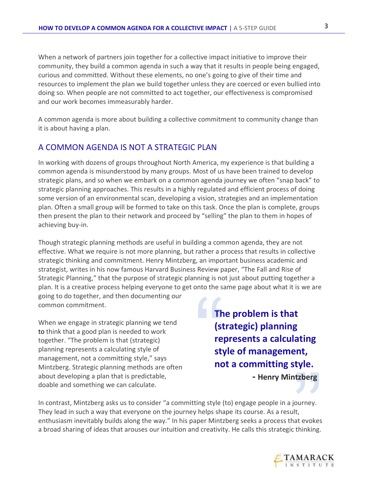When a network of partners join together for a collective impact initiative to improve their community, they build a common agenda in such a way that it results in people being engaged, curious and committed. Without these elements, no one's going to give of their time and resources to implement the plan we build together unless they are coerced or even bullied into doing so. When people are not committed to act together, our effectiveness is compromised and our work becomes immeasurably harder.

A common agenda is more about building a collective commitment to community change than it is about having a plan.

## A COMMON AGENDA IS NOT A STRATEGIC PLAN

In working with dozens of groups throughout North America, my experience is that building a common agenda is misunderstood by many groups. Most of us have been trained to develop strategic plans, and so when we embark on a common agenda journey we often "snap back" to strategic planning approaches. This results in a highly regulated and efficient process of doing some version of an environmental scan, developing a vision, strategies and an implementation plan. Often a small group will be formed to take on this task. Once the plan is complete, groups then present the plan to their network and proceed by "selling" the plan to them in hopes of achieving buy-in.

Though strategic planning methods are useful in building a common agenda, they are not effective. What we require is not more planning, but rather a process that results in collective strategic thinking and commitment. Henry Mintzberg, an important business academic and strategist, writes in his now famous Harvard Business Review paper, "The Fall and Rise of Strategic Planning," that the purpose of strategic planning is not just about putting together a plan. It is a creative process helping everyone to get onto the same page about what it is we are

going to do together, and then documenting our common commitment.

When we engage in strategic planning we tend to think that a good plan is needed to work together. "The problem is that (strategic) planning represents a calculating style of management, not a committing style," says Mintzberg. Strategic planning methods are often about developing a plan that is predictable, doable and something we can calculate.

" **The problem is that (strategic) planning represents a calculating style of management, not a committing style. - Henry Mintzberg** 

**Exple:**<br> **Itzberg**<br>
iourney.<br>
It,<br>
at evokes<br> **Chinking.** In contrast, Mintzberg asks us to consider "a committing style (to) engage people in a journey. They lead in such a way that everyone on the journey helps shape its course. As a result, enthusiasm inevitably builds along the way." In his paper Mintzberg seeks a process that evokes a broad sharing of ideas that arouses our intuition and creativity. He calls this strategic thinking.

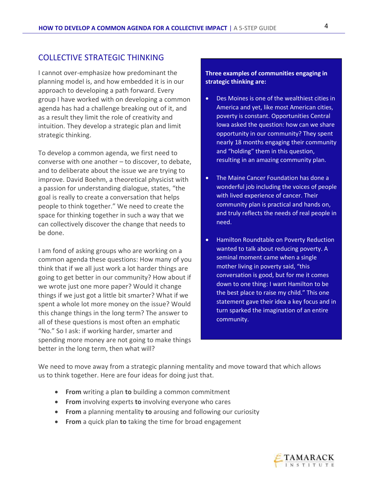## COLLECTIVE STRATEGIC THINKING

I cannot over-emphasize how predominant the planning model is, and how embedded it is in our approach to developing a path forward. Every group I have worked with on developing a common agenda has had a challenge breaking out of it, and as a result they limit the role of creativity and intuition. They develop a strategic plan and limit strategic thinking.

To develop a common agenda, we first need to converse with one another – to discover, to debate, and to deliberate about the issue we are trying to improve. David Boehm, a theoretical physicist with a passion for understanding dialogue, states, "the goal is really to create a conversation that helps people to think together." We need to create the space for thinking together in such a way that we can collectively discover the change that needs to be done.

I am fond of asking groups who are working on a common agenda these questions: How many of you think that if we all just work a lot harder things are going to get better in our community? How about if we wrote just one more paper? Would it change things if we just got a little bit smarter? What if we spent a whole lot more money on the issue? Would this change things in the long term? The answer to all of these questions is most often an emphatic "No." So I ask: if working harder, smarter and spending more money are not going to make things better in the long term, then what will?

#### **Three examples of communities engaging in strategic thinking are:**

- Des Moines is one of the wealthiest cities in America and yet, like most American cities, poverty is constant. Opportunities Central Iowa asked the question: how can we share opportunity in our community? They spent nearly 18 months engaging their community and "holding" them in this question, resulting in an amazing community plan.
- The Maine Cancer Foundation has done a wonderful job including the voices of people with lived experience of cancer. Their community plan is practical and hands on, and truly reflects the needs of real people in need.
- Hamilton Roundtable on Poverty Reduction wanted to talk about reducing poverty. A seminal moment came when a single mother living in poverty said, "this conversation is good, but for me it comes down to one thing: I want Hamilton to be the best place to raise my child." This one statement gave their idea a key focus and in turn sparked the imagination of an entire community.

We need to move away from a strategic planning mentality and move toward that which allows us to think together. Here are four ideas for doing just that.

- **From** writing a plan **to** building a common commitment
- **From** involving experts **to** involving everyone who cares
- **From** a planning mentality **to** arousing and following our curiosity
- **From** a quick plan **to** taking the time for broad engagement

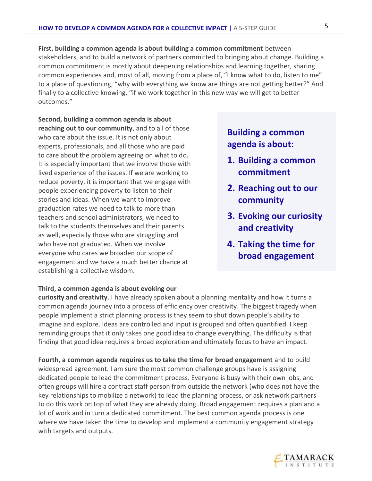**First, building a common agenda is about building a common commitment** between stakeholders, and to build a network of partners committed to bringing about change. Building a common commitment is mostly about deepening relationships and learning together, sharing common experiences and, most of all, moving from a place of, "I know what to do, listen to me" to a place of questioning, "why with everything we know are things are not getting better?" And finally to a collective knowing, "if we work together in this new way we will get to better outcomes."

**Second, building a common agenda is about reaching out to our community**, and to all of those who care about the issue. It is not only about experts, professionals, and all those who are paid to care about the problem agreeing on what to do. It is especially important that we involve those with lived experience of the issues. If we are working to reduce poverty, it is important that we engage with people experiencing poverty to listen to their stories and ideas. When we want to improve graduation rates we need to talk to more than teachers and school administrators, we need to talk to the students themselves and their parents as well, especially those who are struggling and who have not graduated. When we involve everyone who cares we broaden our scope of engagement and we have a much better chance at establishing a collective wisdom.

# **Building a common agenda is about:**

- **1. Building a common commitment**
- **2. Reaching out to our community**
- **3. Evoking our curiosity and creativity**
- **4. Taking the time for broad engagement**

#### **Third, a common agenda is about evoking our**

**curiosity and creativity**. I have already spoken about a planning mentality and how it turns a common agenda journey into a process of efficiency over creativity. The biggest tragedy when people implement a strict planning process is they seem to shut down people's ability to imagine and explore. Ideas are controlled and input is grouped and often quantified. I keep reminding groups that it only takes one good idea to change everything. The difficulty is that finding that good idea requires a broad exploration and ultimately focus to have an impact.

**Fourth, a common agenda requires us to take the time for broad engagement** and to build widespread agreement. I am sure the most common challenge groups have is assigning dedicated people to lead the commitment process. Everyone is busy with their own jobs, and often groups will hire a contract staff person from outside the network (who does not have the key relationships to mobilize a network) to lead the planning process, or ask network partners to do this work on top of what they are already doing. Broad engagement requires a plan and a lot of work and in turn a dedicated commitment. The best common agenda process is one where we have taken the time to develop and implement a community engagement strategy with targets and outputs.

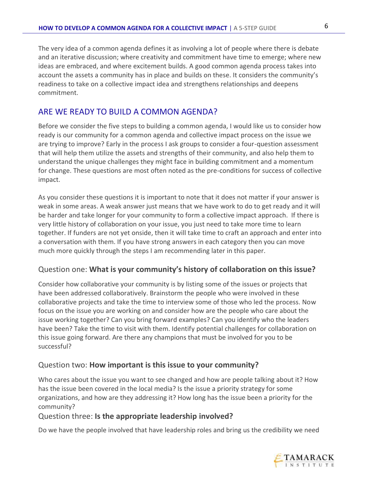The very idea of a common agenda defines it as involving a lot of people where there is debate and an iterative discussion; where creativity and commitment have time to emerge; where new ideas are embraced, and where excitement builds. A good common agenda process takes into account the assets a community has in place and builds on these. It considers the community's readiness to take on a collective impact idea and strengthens relationships and deepens commitment.

## ARE WE READY TO BUILD A COMMON AGENDA?

Before we consider the five steps to building a common agenda, I would like us to consider how ready is our community for a common agenda and collective impact process on the issue we are trying to improve? Early in the process I ask groups to consider a four-question assessment that will help them utilize the assets and strengths of their community, and also help them to understand the unique challenges they might face in building commitment and a momentum for change. These questions are most often noted as the pre-conditions for success of collective impact.

As you consider these questions it is important to note that it does not matter if your answer is weak in some areas. A weak answer just means that we have work to do to get ready and it will be harder and take longer for your community to form a collective impact approach. If there is very little history of collaboration on your issue, you just need to take more time to learn together. If funders are not yet onside, then it will take time to craft an approach and enter into a conversation with them. If you have strong answers in each category then you can move much more quickly through the steps I am recommending later in this paper.

## Question one: **What is your community's history of collaboration on this issue?**

Consider how collaborative your community is by listing some of the issues or projects that have been addressed collaboratively. Brainstorm the people who were involved in these collaborative projects and take the time to interview some of those who led the process. Now focus on the issue you are working on and consider how are the people who care about the issue working together? Can you bring forward examples? Can you identify who the leaders have been? Take the time to visit with them. Identify potential challenges for collaboration on this issue going forward. Are there any champions that must be involved for you to be successful?

#### Question two: **How important is this issue to your community?**

Who cares about the issue you want to see changed and how are people talking about it? How has the issue been covered in the local media? Is the issue a priority strategy for some organizations, and how are they addressing it? How long has the issue been a priority for the community?

## Question three: **Is the appropriate leadership involved?**

Do we have the people involved that have leadership roles and bring us the credibility we need

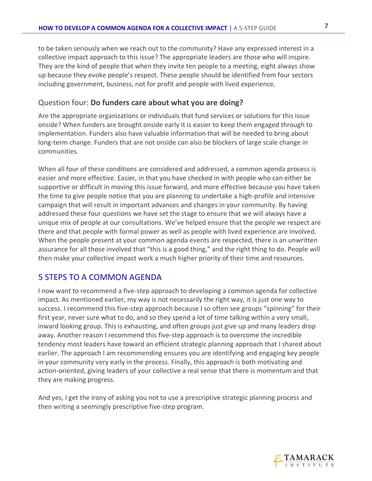to be taken seriously when we reach out to the community? Have any expressed interest in a collective impact approach to this issue? The appropriate leaders are those who will inspire. They are the kind of people that when they invite ten people to a meeting, eight always show up because they evoke people's respect. These people should be identified from four sectors including government, business, not for profit and people with lived experience.

## Question four: **Do funders care about what you are doing?**

Are the appropriate organizations or individuals that fund services or solutions for this issue onside? When funders are brought onside early it is easier to keep them engaged through to implementation. Funders also have valuable information that will be needed to bring about long-term change. Funders that are not onside can also be blockers of large scale change in communities.

When all four of these conditions are considered and addressed, a common agenda process is easier and more effective. Easier, in that you have checked in with people who can either be supportive or difficult in moving this issue forward, and more effective because you have taken the time to give people notice that you are planning to undertake a high-profile and intensive campaign that will result in important advances and changes in your community. By having addressed these four questions we have set the stage to ensure that we will always have a unique mix of people at our consultations. We've helped ensure that the people we respect are there and that people with formal power as well as people with lived experience are involved. When the people present at your common agenda events are respected, there is an unwritten assurance for all those involved that "this is a good thing," and the right thing to do. People will then make your collective impact work a much higher priority of their time and resources.

# 5 STEPS TO A COMMON AGENDA

I now want to recommend a five-step approach to developing a common agenda for collective impact. As mentioned earlier, my way is not necessarily the right way, it is just one way to success. I recommend this five-step approach because I so often see groups "spinning" for their first year, never sure what to do, and so they spend a lot of time talking within a very small, inward looking group. This is exhausting, and often groups just give up and many leaders drop away. Another reason I recommend this five-step approach is to overcome the incredible tendency most leaders have toward an efficient strategic planning approach that I shared about earlier. The approach I am recommending ensures you are identifying and engaging key people in your community very early in the process. Finally, this approach is both motivating and action-oriented, giving leaders of your collective a real sense that there is momentum and that they are making progress.

And yes, I get the irony of asking you not to use a prescriptive strategic planning process and then writing a seemingly prescriptive five-step program.

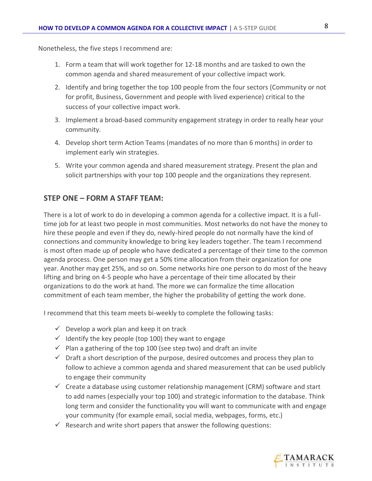Nonetheless, the five steps I recommend are:

- 1. Form a team that will work together for 12-18 months and are tasked to own the common agenda and shared measurement of your collective impact work.
- 2. Identify and bring together the top 100 people from the four sectors (Community or not for profit, Business, Government and people with lived experience) critical to the success of your collective impact work.
- 3. Implement a broad-based community engagement strategy in order to really hear your community.
- 4. Develop short term Action Teams (mandates of no more than 6 months) in order to implement early win strategies.
- 5. Write your common agenda and shared measurement strategy. Present the plan and solicit partnerships with your top 100 people and the organizations they represent.

## **STEP ONE – FORM A STAFF TEAM:**

There is a lot of work to do in developing a common agenda for a collective impact. It is a fulltime job for at least two people in most communities. Most networks do not have the money to hire these people and even if they do, newly-hired people do not normally have the kind of connections and community knowledge to bring key leaders together. The team I recommend is most often made up of people who have dedicated a percentage of their time to the common agenda process. One person may get a 50% time allocation from their organization for one year. Another may get 25%, and so on. Some networks hire one person to do most of the heavy lifting and bring on 4-5 people who have a percentage of their time allocated by their organizations to do the work at hand. The more we can formalize the time allocation commitment of each team member, the higher the probability of getting the work done.

I recommend that this team meets bi-weekly to complete the following tasks:

- $\checkmark$  Develop a work plan and keep it on track
- $\checkmark$  Identify the key people (top 100) they want to engage
- $\checkmark$  Plan a gathering of the top 100 (see step two) and draft an invite
- $\checkmark$  Draft a short description of the purpose, desired outcomes and process they plan to follow to achieve a common agenda and shared measurement that can be used publicly to engage their community
- $\checkmark$  Create a database using customer relationship management (CRM) software and start to add names (especially your top 100) and strategic information to the database. Think long term and consider the functionality you will want to communicate with and engage your community (for example email, social media, webpages, forms, etc.)
- $\checkmark$  Research and write short papers that answer the following questions:

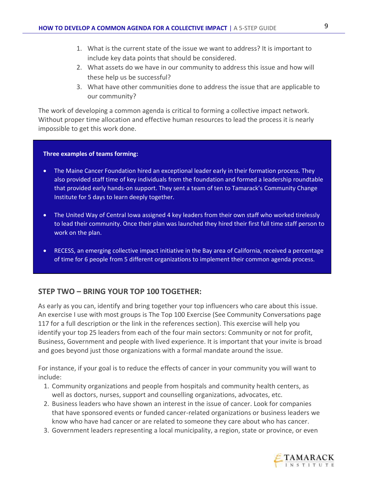- 1. What is the current state of the issue we want to address? It is important to include key data points that should be considered.
- 2. What assets do we have in our community to address this issue and how will these help us be successful?
- 3. What have other communities done to address the issue that are applicable to our community?

The work of developing a common agenda is critical to forming a collective impact network. Without proper time allocation and effective human resources to lead the process it is nearly impossible to get this work done.

#### **Three examples of teams forming:**

- The Maine Cancer Foundation hired an exceptional leader early in their formation process. They also provided staff time of key individuals from the foundation and formed a leadership roundtable that provided early hands-on support. They sent a team of ten to Tamarack's Community Change Institute for 5 days to learn deeply together.
- The United Way of Central Iowa assigned 4 key leaders from their own staff who worked tirelessly to lead their community. Once their plan was launched they hired their first full time staff person to work on the plan.
- RECESS, an emerging collective impact initiative in the Bay area of California, received a percentage of time for 6 people from 5 different organizations to implement their common agenda process.

## **STEP TWO – BRING YOUR TOP 100 TOGETHER:**

As early as you can, identify and bring together your top influencers who care about this issue. An exercise I use with most groups is The Top 100 Exercise (See Community Conversations page 117 for a full description or the link in the references section). This exercise will help you identify your top 25 leaders from each of the four main sectors: Community or not for profit, Business, Government and people with lived experience. It is important that your invite is broad and goes beyond just those organizations with a formal mandate around the issue.

For instance, if your goal is to reduce the effects of cancer in your community you will want to include:

- 1. Community organizations and people from hospitals and community health centers, as well as doctors, nurses, support and counselling organizations, advocates, etc.
- 2. Business leaders who have shown an interest in the issue of cancer. Look for companies that have sponsored events or funded cancer-related organizations or business leaders we know who have had cancer or are related to someone they care about who has cancer.
- 3. Government leaders representing a local municipality, a region, state or province, or even

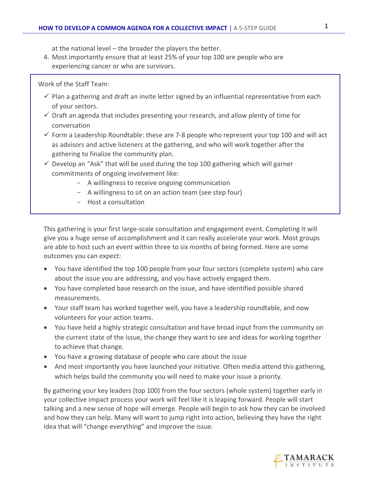at the national level – the broader the players the better.

4. Most importantly ensure that at least 25% of your top 100 are people who are experiencing cancer or who are survivors.

Work of the Staff Team:

- $\checkmark$  Plan a gathering and draft an invite letter signed by an influential representative from each of your sectors.
- $\checkmark$  Draft an agenda that includes presenting your research, and allow plenty of time for conversation
- $\checkmark$  Form a Leadership Roundtable: these are 7-8 people who represent your top 100 and will act as advisors and active listeners at the gathering, and who will work together after the gathering to finalize the community plan.
- $\checkmark$  Develop an "Ask" that will be used during the top 100 gathering which will garner commitments of ongoing involvement like:
	- A willingness to receive ongoing communication
	- A willingness to sit on an action team (see step four)
	- Host a consultation

This gathering is your first large-scale consultation and engagement event. Completing it will give you a huge sense of accomplishment and it can really accelerate your work. Most groups are able to host such an event within three to six months of being formed. Here are some outcomes you can expect:

- You have identified the top 100 people from your four sectors (complete system) who care about the issue you are addressing, and you have actively engaged them.
- You have completed base research on the issue, and have identified possible shared measurements.
- Your staff team has worked together well, you have a leadership roundtable, and now volunteers for your action teams.
- You have held a highly strategic consultation and have broad input from the community on the current state of the issue, the change they want to see and ideas for working together to achieve that change.
- You have a growing database of people who care about the issue
- And most importantly you have launched your initiative. Often media attend this gathering, which helps build the community you will need to make your issue a priority.

By gathering your key leaders (top 100) from the four sectors (whole system) together early in your collective impact process your work will feel like it is leaping forward. People will start talking and a new sense of hope will emerge. People will begin to ask how they can be involved and how they can help. Many will want to jump right into action, believing they have the right idea that will "change everything" and improve the issue.

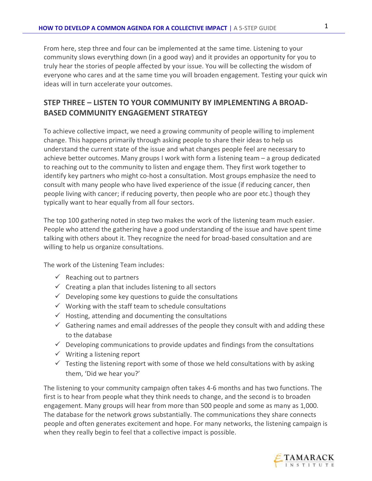From here, step three and four can be implemented at the same time. Listening to your community slows everything down (in a good way) and it provides an opportunity for you to truly hear the stories of people affected by your issue. You will be collecting the wisdom of everyone who cares and at the same time you will broaden engagement. Testing your quick win ideas will in turn accelerate your outcomes.

# **STEP THREE – LISTEN TO YOUR COMMUNITY BY IMPLEMENTING A BROAD-BASED COMMUNITY ENGAGEMENT STRATEGY**

To achieve collective impact, we need a growing community of people willing to implement change. This happens primarily through asking people to share their ideas to help us understand the current state of the issue and what changes people feel are necessary to achieve better outcomes. Many groups I work with form a listening team – a group dedicated to reaching out to the community to listen and engage them. They first work together to identify key partners who might co-host a consultation. Most groups emphasize the need to consult with many people who have lived experience of the issue (if reducing cancer, then people living with cancer; if reducing poverty, then people who are poor etc.) though they typically want to hear equally from all four sectors.

The top 100 gathering noted in step two makes the work of the listening team much easier. People who attend the gathering have a good understanding of the issue and have spent time talking with others about it. They recognize the need for broad-based consultation and are willing to help us organize consultations.

The work of the Listening Team includes:

- $\checkmark$  Reaching out to partners
- $\checkmark$  Creating a plan that includes listening to all sectors
- $\checkmark$  Developing some key questions to guide the consultations
- $\checkmark$  Working with the staff team to schedule consultations
- $\checkmark$  Hosting, attending and documenting the consultations
- $\checkmark$  Gathering names and email addresses of the people they consult with and adding these to the database
- $\checkmark$  Developing communications to provide updates and findings from the consultations
- $\checkmark$  Writing a listening report
- $\checkmark$  Testing the listening report with some of those we held consultations with by asking them, 'Did we hear you?'

The listening to your community campaign often takes 4-6 months and has two functions. The first is to hear from people what they think needs to change, and the second is to broaden engagement. Many groups will hear from more than 500 people and some as many as 1,000. The database for the network grows substantially. The communications they share connects people and often generates excitement and hope. For many networks, the listening campaign is when they really begin to feel that a collective impact is possible.

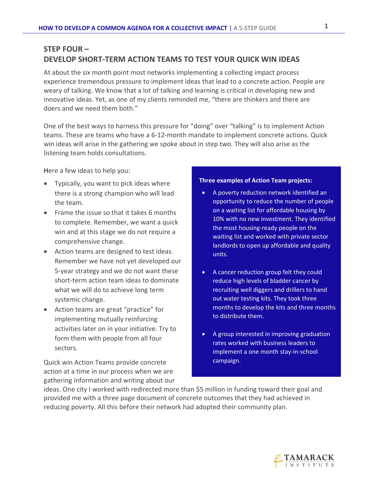## **STEP FOUR – DEVELOP SHORT-TERM ACTION TEAMS TO TEST YOUR QUICK WIN IDEAS**

At about the six month point most networks implementing a collecting impact process experience tremendous pressure to implement ideas that lead to a concrete action. People are weary of talking. We know that a lot of talking and learning is critical in developing new and innovative ideas. Yet, as one of my clients reminded me, "there are thinkers and there are doers and we need them both."

One of the best ways to harness this pressure for "doing" over "talking" is to implement Action teams. These are teams who have a 6-12-month mandate to implement concrete actions. Quick win ideas will arise in the gathering we spoke about in step two. They will also arise as the listening team holds consultations.

Here a few ideas to help you:

- Typically, you want to pick ideas where there is a strong champion who will lead the team.
- Frame the issue so that it takes 6 months to complete. Remember, we want a quick win and at this stage we do not require a comprehensive change.
- Action teams are designed to test ideas. Remember we have not yet developed our 5-year strategy and we do not want these short-term action team ideas to dominate what we will do to achieve long term systemic change.
- Action teams are great "practice" for implementing mutually reinforcing activities later on in your initiative. Try to form them with people from all four sectors.

Quick win Action Teams provide concrete action at a time in our process when we are gathering information and writing about our

#### **Three examples of Action Team projects:**

- A poverty reduction network identified an opportunity to reduce the number of people on a waiting list for affordable housing by 10% with no new investment. They identified the most housing-ready people on the waiting list and worked with private sector landlords to open up affordable and quality units.
- A cancer reduction group felt they could reduce high levels of bladder cancer by recruiting well diggers and drillers to hand out water testing kits. They took three months to develop the kits and three months to distribute them.
- A group interested in improving graduation rates worked with business leaders to implement a one month stay-in-school campaign.

ideas. One city I worked with redirected more than \$5 million in funding toward their goal and provided me with a three page document of concrete outcomes that they had achieved in reducing poverty. All this before their network had adopted their community plan.

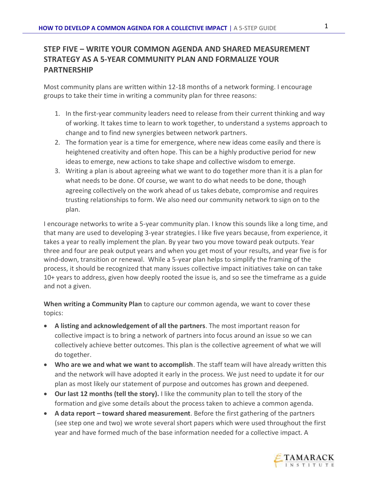# **STEP FIVE – WRITE YOUR COMMON AGENDA AND SHARED MEASUREMENT STRATEGY AS A 5-YEAR COMMUNITY PLAN AND FORMALIZE YOUR PARTNERSHIP**

Most community plans are written within 12-18 months of a network forming. I encourage groups to take their time in writing a community plan for three reasons:

- 1. In the first-year community leaders need to release from their current thinking and way of working. It takes time to learn to work together, to understand a systems approach to change and to find new synergies between network partners.
- 2. The formation year is a time for emergence, where new ideas come easily and there is heightened creativity and often hope. This can be a highly productive period for new ideas to emerge, new actions to take shape and collective wisdom to emerge.
- 3. Writing a plan is about agreeing what we want to do together more than it is a plan for what needs to be done. Of course, we want to do what needs to be done, though agreeing collectively on the work ahead of us takes debate, compromise and requires trusting relationships to form. We also need our community network to sign on to the plan.

I encourage networks to write a 5-year community plan. I know this sounds like a long time, and that many are used to developing 3-year strategies. I like five years because, from experience, it takes a year to really implement the plan. By year two you move toward peak outputs. Year three and four are peak output years and when you get most of your results, and year five is for wind-down, transition or renewal. While a 5-year plan helps to simplify the framing of the process, it should be recognized that many issues collective impact initiatives take on can take 10+ years to address, given how deeply rooted the issue is, and so see the timeframe as a guide and not a given.

**When writing a Community Plan** to capture our common agenda, we want to cover these topics:

- **A listing and acknowledgement of all the partners**. The most important reason for collective impact is to bring a network of partners into focus around an issue so we can collectively achieve better outcomes. This plan is the collective agreement of what we will do together.
- **Who are we and what we want to accomplish**. The staff team will have already written this and the network will have adopted it early in the process. We just need to update it for our plan as most likely our statement of purpose and outcomes has grown and deepened.
- **Our last 12 months (tell the story).** I like the community plan to tell the story of the formation and give some details about the process taken to achieve a common agenda.
- **A data report – toward shared measurement**. Before the first gathering of the partners (see step one and two) we wrote several short papers which were used throughout the first year and have formed much of the base information needed for a collective impact. A

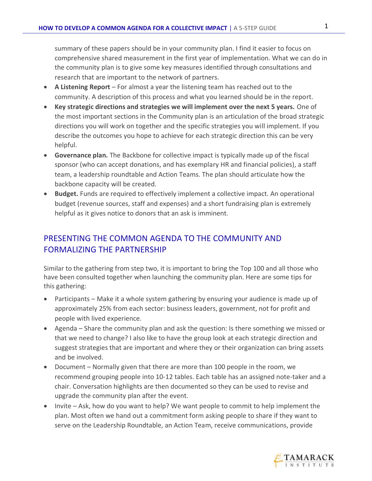summary of these papers should be in your community plan. I find it easier to focus on comprehensive shared measurement in the first year of implementation. What we can do in the community plan is to give some key measures identified through consultations and research that are important to the network of partners.

- **A Listening Report** For almost a year the listening team has reached out to the community. A description of this process and what you learned should be in the report.
- **Key strategic directions and strategies we will implement over the next 5 years.** One of the most important sections in the Community plan is an articulation of the broad strategic directions you will work on together and the specific strategies you will implement. If you describe the outcomes you hope to achieve for each strategic direction this can be very helpful.
- **Governance plan.** The Backbone for collective impact is typically made up of the fiscal sponsor (who can accept donations, and has exemplary HR and financial policies), a staff team, a leadership roundtable and Action Teams. The plan should articulate how the backbone capacity will be created.
- **Budget.** Funds are required to effectively implement a collective impact. An operational budget (revenue sources, staff and expenses) and a short fundraising plan is extremely helpful as it gives notice to donors that an ask is imminent.

# PRESENTING THE COMMON AGENDA TO THE COMMUNITY AND FORMALIZING THE PARTNERSHIP

Similar to the gathering from step two, it is important to bring the Top 100 and all those who have been consulted together when launching the community plan. Here are some tips for this gathering:

- Participants Make it a whole system gathering by ensuring your audience is made up of approximately 25% from each sector: business leaders, government, not for profit and people with lived experience.
- Agenda Share the community plan and ask the question: Is there something we missed or that we need to change? I also like to have the group look at each strategic direction and suggest strategies that are important and where they or their organization can bring assets and be involved.
- Document Normally given that there are more than 100 people in the room, we recommend grouping people into 10-12 tables. Each table has an assigned note-taker and a chair. Conversation highlights are then documented so they can be used to revise and upgrade the community plan after the event.
- Invite Ask, how do you want to help? We want people to commit to help implement the plan. Most often we hand out a commitment form asking people to share if they want to serve on the Leadership Roundtable, an Action Team, receive communications, provide

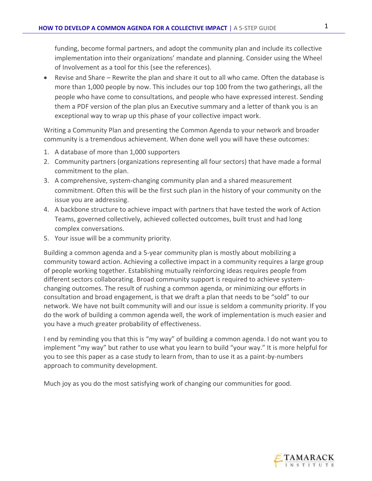funding, become formal partners, and adopt the community plan and include its collective implementation into their organizations' mandate and planning. Consider using the Wheel of Involvement as a tool for this (see the references).

• Revise and Share – Rewrite the plan and share it out to all who came. Often the database is more than 1,000 people by now. This includes our top 100 from the two gatherings, all the people who have come to consultations, and people who have expressed interest. Sending them a PDF version of the plan plus an Executive summary and a letter of thank you is an exceptional way to wrap up this phase of your collective impact work.

Writing a Community Plan and presenting the Common Agenda to your network and broader community is a tremendous achievement. When done well you will have these outcomes:

- 1. A database of more than 1,000 supporters
- 2. Community partners (organizations representing all four sectors) that have made a formal commitment to the plan.
- 3. A comprehensive, system-changing community plan and a shared measurement commitment. Often this will be the first such plan in the history of your community on the issue you are addressing.
- 4. A backbone structure to achieve impact with partners that have tested the work of Action Teams, governed collectively, achieved collected outcomes, built trust and had long complex conversations.
- 5. Your issue will be a community priority.

Building a common agenda and a 5-year community plan is mostly about mobilizing a community toward action. Achieving a collective impact in a community requires a large group of people working together. Establishing mutually reinforcing ideas requires people from different sectors collaborating. Broad community support is required to achieve systemchanging outcomes. The result of rushing a common agenda, or minimizing our efforts in consultation and broad engagement, is that we draft a plan that needs to be "sold" to our network. We have not built community will and our issue is seldom a community priority. If you do the work of building a common agenda well, the work of implementation is much easier and you have a much greater probability of effectiveness.

I end by reminding you that this is "my way" of building a common agenda. I do not want you to implement "my way" but rather to use what you learn to build "your way." It is more helpful for you to see this paper as a case study to learn from, than to use it as a paint-by-numbers approach to community development.

Much joy as you do the most satisfying work of changing our communities for good.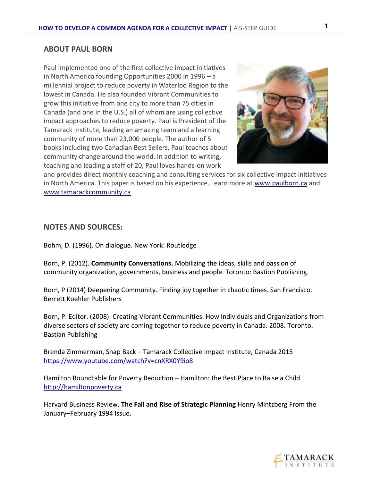#### **ABOUT PAUL BORN**

Paul implemented one of the first collective impact initiatives in North America founding Opportunities 2000 in 1996 – a millennial project to reduce poverty in Waterloo Region to the lowest in Canada. He also founded Vibrant Communities to grow this initiative from one city to more than 75 cities in Canada (and one in the U.S.) all of whom are using collective impact approaches to reduce poverty. Paul is President of the Tamarack Institute, leading an amazing team and a learning community of more than 23,000 people. The author of 5 books including two Canadian Best Sellers, Paul teaches about community change around the world. In addition to writing, teaching and leading a staff of 20, Paul loves hands-on work



and provides direct monthly coaching and consulting services for six collective impact initiatives in North America. This paper is based on his experience. Learn more at [www.paulborn.ca](http://www.paulborn.ca/) and [www.tamarackcommunity.ca](http://www.tamarackcommunity.ca/)

#### **NOTES AND SOURCES:**

Bohm, D. (1996). On dialogue. New York: Routledge

Born, P. (2012). **Community Conversations.** Mobilizing the ideas, skills and passion of community organization, governments, business and people. Toronto: Bastion Publishing.

Born, P (2014) Deepening Community. Finding joy together in chaotic times. San Francisco. Berrett Koehler Publishers

Born, P. Editor. (2008). Creating Vibrant Communities. How Individuals and Organizations from diverse sectors of society are coming together to reduce poverty in Canada. 2008. Toronto. Bastian Publishing

Brenda Zimmerman, Snap Back – Tamarack Collective Impact Institute, Canada 2015 <https://www.youtube.com/watch?v=cnXRX0Y9io8>

Hamilton Roundtable for Poverty Reduction – Hamilton: the Best Place to Raise a Child [http://hamiltonpoverty.ca](http://hamiltonpoverty.ca/)

Harvard Business Review, **The Fall and Rise of Strategic Planning** Henry Mintzberg From the January–February 1994 Issue.